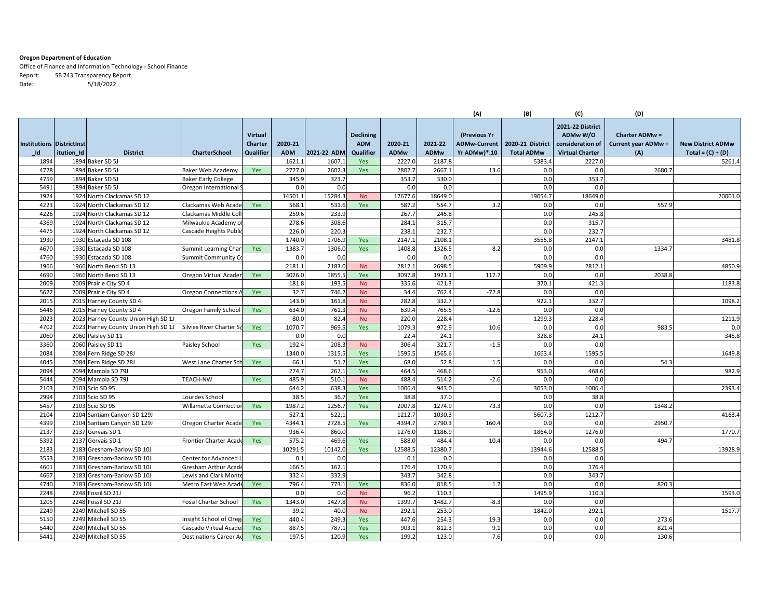## **Oregon Department of Education**

Office of Finance and Information Technology ‐ School Finance Report: SB 743 Transparency Report Date: 5/18/2022

|                                  |            |                                     |                               |                |            |             |                  |             |             | (A)                 | (B)               | (C)                    | (D)                   |                          |
|----------------------------------|------------|-------------------------------------|-------------------------------|----------------|------------|-------------|------------------|-------------|-------------|---------------------|-------------------|------------------------|-----------------------|--------------------------|
|                                  |            |                                     |                               |                |            |             |                  |             |             |                     |                   | 2021-22 District       |                       |                          |
|                                  |            |                                     |                               | <b>Virtual</b> |            |             | <b>Declining</b> |             |             | (Previous Yr        |                   | ADMw W/O               | <b>Charter ADMw =</b> |                          |
| <b>Institutions Districtinst</b> |            |                                     |                               | <b>Charter</b> | 2020-21    |             | <b>ADM</b>       | 2020-21     | 2021-22     | <b>ADMw-Current</b> | 2020-21 District  | consideration of       | Current year ADMw +   | <b>New District ADMw</b> |
| Id                               | itution_Id | <b>District</b>                     | <b>CharterSchool</b>          | Qualifier      | <b>ADM</b> | 2021-22 ADM | Qualifier        | <b>ADMw</b> | <b>ADMw</b> | Yr ADMw)*.10        | <b>Total ADMw</b> | <b>Virtual Charter</b> | (A)                   | $Total = (C) + (D)$      |
| 1894                             |            | 1894 Baker SD 5J                    |                               |                | 1621.      | 1607.1      | Yes              | 2227.0      | 2187.8      |                     | 5383.4            | 2227.0                 |                       | 5261.4                   |
| 4728                             |            | 1894 Baker SD 5J                    | Baker Web Academy             | Yes            | 2727.0     | 2602.3      | Yes              | 2802.       | 2667.1      | 13.6                | 0.0               | 0.0                    | 2680.7                |                          |
| 4759                             |            | 1894 Baker SD 5J                    | <b>Baker Early College</b>    |                | 345.9      | 323.7       |                  | 353.7       | 330.0       |                     | 0.0               | 353.7                  |                       |                          |
| 5491                             |            | 1894 Baker SD 5J                    | Oregon International          |                | 0.0        | 0.0         |                  | 0.0         | 0.0         |                     | 0.0               | 0.0                    |                       |                          |
| 1924                             |            | 1924 North Clackamas SD 12          |                               |                | 14501.     | 15284.3     | <b>No</b>        | 17677.6     | 18649.0     |                     | 19054.7           | 18649.0                |                       | 20001.0                  |
| 4223                             |            | 1924 North Clackamas SD 12          | Clackamas Web Acade           | Yes            | 568.       | 531.6       | Yes              | 587.        | 554.7       | 3.2                 | 0.0               | 0.0                    | 557.9                 |                          |
| 4226                             |            | 1924 North Clackamas SD 12          | Clackamas Middle Col          |                | 259.6      | 233.9       |                  | 267.7       | 245.8       |                     | 0.0               | 245.8                  |                       |                          |
| 4369                             |            | 1924 North Clackamas SD 12          | Milwaukie Academy c           |                | 278.6      | 308.6       |                  | 284.1       | 315.7       |                     | 0.0               | 315.7                  |                       |                          |
| 4475                             |            | 1924 North Clackamas SD 12          | Cascade Heights Publi         |                | 226.0      | 220.3       |                  | 238.        | 232.7       |                     | 0.0               | 232.7                  |                       |                          |
| 1930                             |            | 1930 Estacada SD 108                |                               |                | 1740.0     | 1706.9      | Yes              | 2147.1      | 2108.1      |                     | 3555.8            | 2147.1                 |                       | 3481.8                   |
| 4670                             |            | 1930 Estacada SD 108                | Summit Learning Char          | Yes            | 1383.7     | 1306.0      | Yes              | 1408.8      | 1326.5      | 8.2                 | 0.0               | 0.0                    | 1334.7                |                          |
| 4760                             |            | 1930 Estacada SD 108                | Summit Community C            |                | 0.0        | 0.0         |                  | 0.0         | 0.0         |                     | 0.0               | 0.0                    |                       |                          |
| 1966                             |            | 1966 North Bend SD 13               |                               |                | 2181.      | 2183.0      | <b>No</b>        | 2812.       | 2698.5      |                     | 5909.9            | 2812.1                 |                       | 4850.9                   |
| 4690                             |            | 1966 North Bend SD 13               | Oregon Virtual Acade          | Yes            | 3026.0     | 1855.       | Yes              | 3097.8      | 1921.1      | 117.7               | 0.0               | 0.0                    | 2038.8                |                          |
| 2009                             |            | 2009 Prairie City SD 4              |                               |                | 181.8      | 193.5       | <b>No</b>        | 335.6       | 421.3       |                     | 370.1             | 421.3                  |                       | 1183.8                   |
| 5622                             |            | 2009 Prairie City SD 4              | <b>Oregon Connections</b>     | Yes            | 32.7       | 746.2       | <b>No</b>        | 34.4        | 762.4       | $-72.8$             | 0.0               | 0.0                    |                       |                          |
| 2015                             |            | 2015 Harney County SD 4             |                               |                | 143.0      | 161.8       | <b>No</b>        | 282.8       | 332.7       |                     | 922.1             | 332.7                  |                       | 1098.2                   |
| 5446                             |            | 2015 Harney County SD 4             | Oregon Family Schoo           | Yes            | 634.0      | 761.3       | <b>No</b>        | 639.4       | 765.5       | $-12.6$             | 0.0               | 0.0                    |                       |                          |
| 2023                             |            | 2023 Harney County Union High SD 1J |                               |                | 80.0       | 82.4        | <b>No</b>        | 220.0       | 228.4       |                     | 1299.3            | 228.4                  |                       | 1211.9                   |
| 4702                             |            | 2023 Harney County Union High SD 1J | Silvies River Charter S       | Yes            | 1070.7     | 969.5       | Yes              | 1079.3      | 972.9       | 10.6                | 0.0               | 0.0                    | 983.                  | 0.0                      |
| 2060                             |            | 2060 Paisley SD 11                  |                               |                | 0.0        | 0.0         |                  | 22.4        | 24.1        |                     | 328.8             | 24.1                   |                       | 345.8                    |
| 3360                             |            | 2060 Paisley SD 11                  | Paisley School                | Yes            | 192.4      | 208.3       | <b>No</b>        | 306.4       | 321.7       | $-1.5$              | 0.0               | 0.0                    |                       |                          |
| 2084                             |            | 2084 Fern Ridge SD 28J              |                               |                | 1340.0     | 1315.       | Yes              | 1595.       | 1565.6      |                     | 1663.4            | 1595.5                 |                       | 1649.8                   |
| 4045                             |            | 2084 Fern Ridge SD 28J              | West Lane Charter Sc          | Yes            | 66.1       | 51.2        | Yes              | 68.C        | 52.8        | 1.5                 | 0.0               | 0.0                    | 54.3                  |                          |
| 2094                             |            | 2094 Marcola SD 79J                 |                               |                | 274.7      | 267.1       | Yes              | 464.5       | 468.6       |                     | 953.0             | 468.6                  |                       | 982.9                    |
| 5444                             |            | 2094 Marcola SD 79J                 | <b>TEACH-NW</b>               | Yes            | 485.9      | 510.1       | <b>No</b>        | 488.        | 514.2       | $-2.6$              | 0.0               | 0.0                    |                       |                          |
| 2103                             |            | 2103 Scio SD 95                     |                               |                | 644.2      | 638.3       | Yes              | 1006.4      | 943.0       |                     | 3053.0            | 1006.4                 |                       | 2393.4                   |
| 2994                             |            | 2103 Scio SD 95                     | Lourdes School                |                | 38.5       | 36.7        | Yes              | 38.8        | 37.0        |                     | 0.0               | 38.8                   |                       |                          |
| 5457                             |            | 2103 Scio SD 95                     | Willamette Connection         | Yes            | 1987.2     | 1256.7      | Yes              | 2007.8      | 1274.9      | 73.3                | 0.0               | 0.0                    | 1348.2                |                          |
| 2104                             |            | 2104 Santiam Canyon SD 129J         |                               |                | 527.2      | 522.1       |                  | 1212.7      | 1030.3      |                     | 5607.3            | 1212.7                 |                       | 4163.4                   |
| 4399                             |            | 2104 Santiam Canyon SD 129J         | Oregon Charter Acade          | Yes            | 4344.1     | 2728.5      | Yes              | 4394.7      | 2790.3      | 160.4               | 0.0               | 0.0                    | 2950.7                |                          |
| 2137                             |            | 2137 Gervais SD 1                   |                               |                | 936.4      | 860.0       |                  | 1276.0      | 1186.9      |                     | 1864.0            | 1276.0                 |                       | 1770.7                   |
| 5392                             |            | 2137 Gervais SD 1                   | Frontier Charter Acade        | Yes            | 575.2      | 469.6       | Yes              | 588.0       | 484.4       | 10.4                | 0.0               | 0.0                    | 494.7                 |                          |
| 2183                             |            | 2183 Gresham-Barlow SD 10J          |                               |                | 10291.5    | 10142.0     | Yes              | 12588.9     | 12380.7     |                     | 13944.6           | 12588.                 |                       | 13928.9                  |
| 3553                             |            | 2183 Gresham-Barlow SD 10J          | Center for Advanced I         |                | 0.1        | 0.0         |                  | 0.1         | 0.0         |                     | 0.0               | 0.0                    |                       |                          |
| 4601                             |            | 2183 Gresham-Barlow SD 10J          | Gresham Arthur Acad           |                | 166.5      | 162.1       |                  | 176.4       | 170.9       |                     | 0.0               | 176.4                  |                       |                          |
| 4667                             |            | 2183 Gresham-Barlow SD 10J          | Lewis and Clark Mont          |                | 332.4      | 332.9       |                  | 343.7       | 342.8       |                     | 0.0               | 343.7                  |                       |                          |
| 4740                             |            | 2183 Gresham-Barlow SD 10J          | Metro East Web Acad           | Yes            | 796.4      | 773.1       | Yes              | 836.0       | 818.5       | 1.7                 | 0.0               | 0.0                    | 820.3                 |                          |
| 2248                             |            | 2248 Fossil SD 21J                  |                               |                | 0.0        | 0.0         | <b>No</b>        | 96.2        | 110.3       |                     | 1495.9            | 110.3                  |                       | 1593.0                   |
| 1205                             |            | 2248 Fossil SD 21J                  | Fossil Charter School         | Yes            | 1343.0     | 1427.8      | <b>No</b>        | 1399.7      | 1482.7      | $-8.3$              | 0.0               | 0.0                    |                       |                          |
| 2249                             |            | 2249 Mitchell SD 55                 |                               |                | 39.2       | 40.0        | <b>No</b>        | 292.3       | 253.0       |                     | 1842.0            | 292.1                  |                       | 1517.7                   |
| 5150                             |            | 2249 Mitchell SD 55                 | Insight School of Oreg        | Yes            | 440.4      | 249.3       | Yes              | 447.6       | 254.3       | 19.3                | 0.0               | 0.0                    | 273.6                 |                          |
| 5440                             |            | 2249 Mitchell SD 55                 | Cascade Virtual Acade         | <b>Yes</b>     | 887.5      | 787.1       | Yes              | 903.1       | 812.3       | 9.1                 | 0.0               | 0.0                    | 821.4                 |                          |
| 5441                             |            | 2249 Mitchell SD 55                 | <b>Destinations Career Ao</b> | Yes            | 197.5      | 120.9       | Yes              | 199.2       | 123.0       | 7.6                 | 0.0               | 0.0                    | 130.6                 |                          |